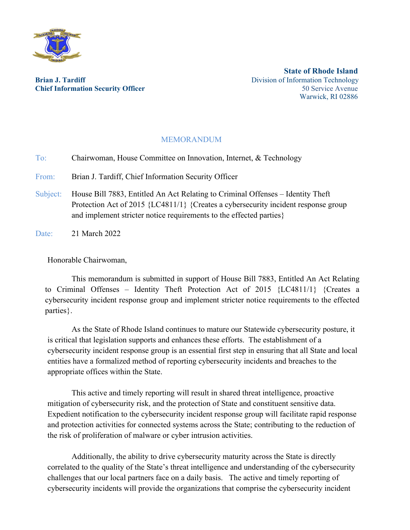

**Brian J. Tardiff Brian I. Tardiff Brian I. Tardiff Division of Information Technology Chief Information Security Officer 1989** Service Avenue **50 Service Avenue 50 Service Avenue** 

**State of Rhode Island** Warwick, RI 02886

## MEMORANDUM

To: Chairwoman, House Committee on Innovation, Internet, & Technology

From: Brian J. Tardiff, Chief Information Security Officer

Subject: House Bill 7883, Entitled An Act Relating to Criminal Offenses – Identity Theft Protection Act of 2015 {LC4811/1} {Creates a cybersecurity incident response group and implement stricter notice requirements to the effected parties}

Date: 21 March 2022

Honorable Chairwoman,

This memorandum is submitted in support of House Bill 7883, Entitled An Act Relating to Criminal Offenses – Identity Theft Protection Act of 2015 {LC4811/1} {Creates a cybersecurity incident response group and implement stricter notice requirements to the effected parties}.

As the State of Rhode Island continues to mature our Statewide cybersecurity posture, it is critical that legislation supports and enhances these efforts. The establishment of a cybersecurity incident response group is an essential first step in ensuring that all State and local entities have a formalized method of reporting cybersecurity incidents and breaches to the appropriate offices within the State.

This active and timely reporting will result in shared threat intelligence, proactive mitigation of cybersecurity risk, and the protection of State and constituent sensitive data. Expedient notification to the cybersecurity incident response group will facilitate rapid response and protection activities for connected systems across the State; contributing to the reduction of the risk of proliferation of malware or cyber intrusion activities.

Additionally, the ability to drive cybersecurity maturity across the State is directly correlated to the quality of the State's threat intelligence and understanding of the cybersecurity challenges that our local partners face on a daily basis. The active and timely reporting of cybersecurity incidents will provide the organizations that comprise the cybersecurity incident